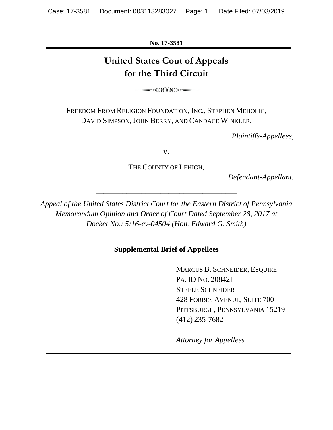**No. 17-3581**

# **United States Cout of Appeals for the Third Circuit**

**⊧∞≫€€⊁€∞⊨** 

FREEDOM FROM RELIGION FOUNDATION, INC., STEPHEN MEHOLIC, DAVID SIMPSON, JOHN BERRY, AND CANDACE WINKLER,

*Plaintiffs-Appellees,*

v.

THE COUNTY OF LEHIGH,

*Defendant-Appellant.*

*Appeal of the United States District Court for the Eastern District of Pennsylvania Memorandum Opinion and Order of Court Dated September 28, 2017 at Docket No.: 5:16-cv-04504 (Hon. Edward G. Smith)*

*\_\_\_\_\_\_\_\_\_\_\_\_\_\_\_\_\_\_\_\_\_\_\_\_\_\_\_\_\_\_\_\_\_\_\_\_\_*

# **Supplemental Brief of Appellees**

MARCUS B. SCHNEIDER, ESQUIRE PA. ID NO. 208421 STEELE SCHNEIDER 428 FORBES AVENUE, SUITE 700 PITTSBURGH, PENNSYLVANIA 15219 (412) 235-7682

*Attorney for Appellees*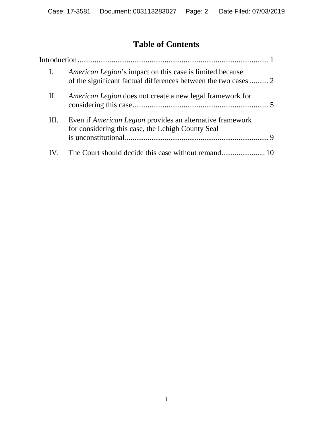# **Table of Contents**

| $\mathbf{I}$ . | <i>American Legion's</i> impact on this case is limited because                                                       |
|----------------|-----------------------------------------------------------------------------------------------------------------------|
| П.             | American Legion does not create a new legal framework for                                                             |
| Ш.             | Even if <i>American Legion</i> provides an alternative framework<br>for considering this case, the Lehigh County Seal |
|                |                                                                                                                       |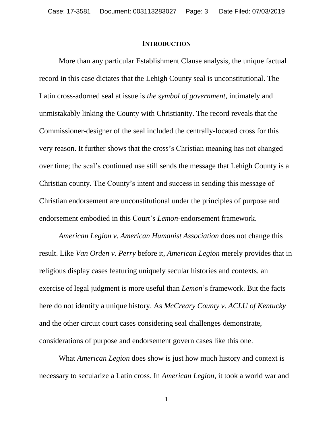#### **INTRODUCTION**

More than any particular Establishment Clause analysis, the unique factual record in this case dictates that the Lehigh County seal is unconstitutional. The Latin cross-adorned seal at issue is *the symbol of government*, intimately and unmistakably linking the County with Christianity. The record reveals that the Commissioner-designer of the seal included the centrally-located cross for this very reason. It further shows that the cross's Christian meaning has not changed over time; the seal's continued use still sends the message that Lehigh County is a Christian county. The County's intent and success in sending this message of Christian endorsement are unconstitutional under the principles of purpose and endorsement embodied in this Court's *Lemon-*endorsement framework.

*American Legion v. American Humanist Association* does not change this result. Like *Van Orden v. Perry* before it, *American Legion* merely provides that in religious display cases featuring uniquely secular histories and contexts, an exercise of legal judgment is more useful than *Lemon*'s framework. But the facts here do not identify a unique history. As *McCreary County v. ACLU of Kentucky* and the other circuit court cases considering seal challenges demonstrate, considerations of purpose and endorsement govern cases like this one.

What *American Legion* does show is just how much history and context is necessary to secularize a Latin cross. In *American Legion*, it took a world war and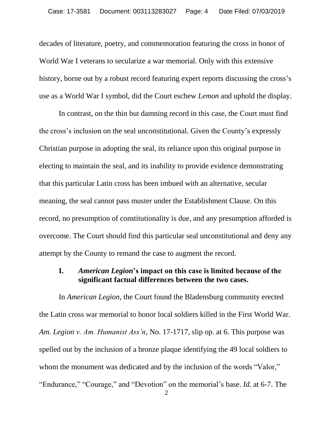decades of literature, poetry, and commemoration featuring the cross in honor of World War I veterans to secularize a war memorial. Only with this extensive history, borne out by a robust record featuring expert reports discussing the cross's use as a World War I symbol, did the Court eschew *Lemon* and uphold the display.

In contrast, on the thin but damning record in this case, the Court must find the cross's inclusion on the seal unconstitutional. Given the County's expressly Christian purpose in adopting the seal, its reliance upon this original purpose in electing to maintain the seal, and its inability to provide evidence demonstrating that this particular Latin cross has been imbued with an alternative, secular meaning, the seal cannot pass muster under the Establishment Clause. On this record, no presumption of constitutionality is due, and any presumption afforded is overcome. The Court should find this particular seal unconstitutional and deny any attempt by the County to remand the case to augment the record.

### **I.** *American Legion***'s impact on this case is limited because of the significant factual differences between the two cases.**

In *American Legion*, the Court found the Bladensburg community erected the Latin cross war memorial to honor local soldiers killed in the First World War. *Am. Legion v. Am. Humanist Ass'n*, No. 17-1717, slip op. at 6. This purpose was spelled out by the inclusion of a bronze plaque identifying the 49 local soldiers to whom the monument was dedicated and by the inclusion of the words "Valor," "Endurance," "Courage," and "Devotion" on the memorial's base. *Id.* at 6-7. The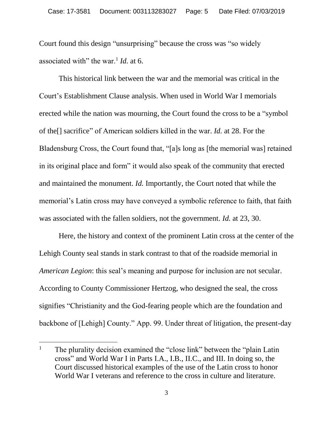Court found this design "unsurprising" because the cross was "so widely associated with" the war.<sup>1</sup> *Id.* at 6.

This historical link between the war and the memorial was critical in the Court's Establishment Clause analysis. When used in World War I memorials erected while the nation was mourning, the Court found the cross to be a "symbol of the[] sacrifice" of American soldiers killed in the war. *Id.* at 28. For the Bladensburg Cross, the Court found that, "[a]s long as [the memorial was] retained in its original place and form" it would also speak of the community that erected and maintained the monument. *Id.* Importantly, the Court noted that while the memorial's Latin cross may have conveyed a symbolic reference to faith, that faith was associated with the fallen soldiers, not the government. *Id.* at 23, 30.

Here, the history and context of the prominent Latin cross at the center of the Lehigh County seal stands in stark contrast to that of the roadside memorial in *American Legion*: this seal's meaning and purpose for inclusion are not secular. According to County Commissioner Hertzog, who designed the seal, the cross signifies "Christianity and the God-fearing people which are the foundation and backbone of [Lehigh] County." App. 99. Under threat of litigation, the present-day

<sup>&</sup>lt;sup>1</sup> The plurality decision examined the "close link" between the "plain Latin cross" and World War I in Parts I.A., I.B., II.C., and III. In doing so, the Court discussed historical examples of the use of the Latin cross to honor World War I veterans and reference to the cross in culture and literature.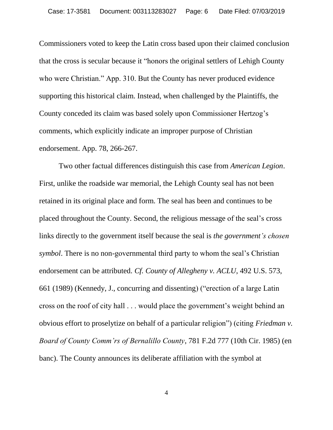Commissioners voted to keep the Latin cross based upon their claimed conclusion that the cross is secular because it "honors the original settlers of Lehigh County who were Christian." App. 310. But the County has never produced evidence supporting this historical claim. Instead, when challenged by the Plaintiffs, the County conceded its claim was based solely upon Commissioner Hertzog's comments, which explicitly indicate an improper purpose of Christian endorsement. App. 78, 266-267.

Two other factual differences distinguish this case from *American Legion*. First, unlike the roadside war memorial, the Lehigh County seal has not been retained in its original place and form. The seal has been and continues to be placed throughout the County. Second, the religious message of the seal's cross links directly to the government itself because the seal is *the government's chosen symbol*. There is no non-governmental third party to whom the seal's Christian endorsement can be attributed. *Cf. County of Allegheny v. ACLU*, 492 U.S. 573, 661 (1989) (Kennedy, J., concurring and dissenting) ("erection of a large Latin cross on the roof of city hall . . . would place the government's weight behind an obvious effort to proselytize on behalf of a particular religion") (citing *Friedman v. Board of County Comm'rs of Bernalillo County*, 781 F.2d 777 (10th Cir. 1985) (en banc). The County announces its deliberate affiliation with the symbol at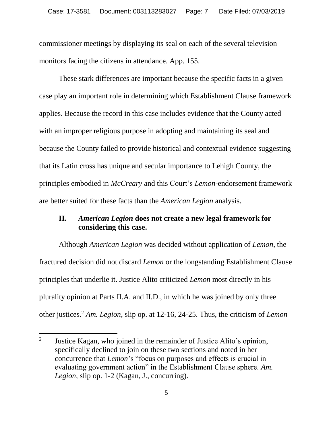commissioner meetings by displaying its seal on each of the several television monitors facing the citizens in attendance. App. 155.

These stark differences are important because the specific facts in a given case play an important role in determining which Establishment Clause framework applies. Because the record in this case includes evidence that the County acted with an improper religious purpose in adopting and maintaining its seal and because the County failed to provide historical and contextual evidence suggesting that its Latin cross has unique and secular importance to Lehigh County, the principles embodied in *McCreary* and this Court's *Lemon*-endorsement framework are better suited for these facts than the *American Legion* analysis.

### **II.** *American Legion* **does not create a new legal framework for considering this case.**

Although *American Legion* was decided without application of *Lemon*, the fractured decision did not discard *Lemon* or the longstanding Establishment Clause principles that underlie it. Justice Alito criticized *Lemon* most directly in his plurality opinion at Parts II.A. and II.D., in which he was joined by only three other justices. <sup>2</sup> *Am. Legion*, slip op. at 12-16, 24-25. Thus, the criticism of *Lemon* 

<sup>2</sup> Justice Kagan, who joined in the remainder of Justice Alito's opinion, specifically declined to join on these two sections and noted in her concurrence that *Lemon*'s "focus on purposes and effects is crucial in evaluating government action" in the Establishment Clause sphere. *Am. Legion*, slip op. 1-2 (Kagan, J., concurring).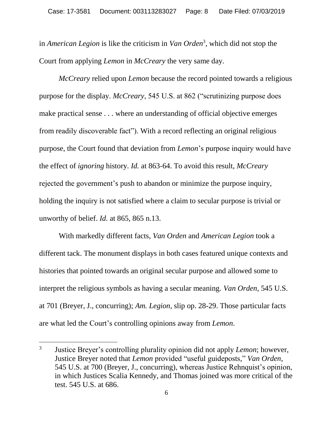in *American Legion* is like the criticism in *Van Orden*<sup>3</sup> , which did not stop the Court from applying *Lemon* in *McCreary* the very same day.

*McCreary* relied upon *Lemon* because the record pointed towards a religious purpose for the display. *McCreary*, 545 U.S. at 862 ("scrutinizing purpose does make practical sense . . . where an understanding of official objective emerges from readily discoverable fact"). With a record reflecting an original religious purpose, the Court found that deviation from *Lemon*'s purpose inquiry would have the effect of *ignoring* history. *Id.* at 863-64. To avoid this result, *McCreary* rejected the government's push to abandon or minimize the purpose inquiry, holding the inquiry is not satisfied where a claim to secular purpose is trivial or unworthy of belief. *Id.* at 865, 865 n.13.

With markedly different facts, *Van Orden* and *American Legion* took a different tack. The monument displays in both cases featured unique contexts and histories that pointed towards an original secular purpose and allowed some to interpret the religious symbols as having a secular meaning. *Van Orden*, 545 U.S. at 701 (Breyer, J., concurring); *Am. Legion*, slip op. 28-29. Those particular facts are what led the Court's controlling opinions away from *Lemon*.

<sup>3</sup> Justice Breyer's controlling plurality opinion did not apply *Lemon*; however, Justice Breyer noted that *Lemon* provided "useful guideposts," *Van Orden*, 545 U.S. at 700 (Breyer, J., concurring), whereas Justice Rehnquist's opinion, in which Justices Scalia Kennedy, and Thomas joined was more critical of the test. 545 U.S. at 686.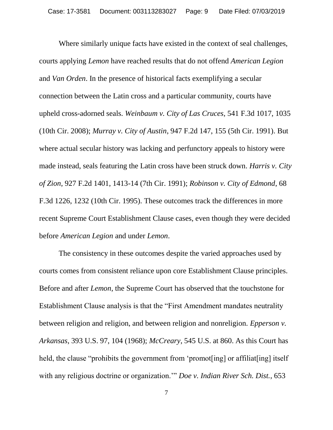Where similarly unique facts have existed in the context of seal challenges, courts applying *Lemon* have reached results that do not offend *American Legion* and *Van Orden*. In the presence of historical facts exemplifying a secular connection between the Latin cross and a particular community, courts have upheld cross-adorned seals. *Weinbaum v. City of Las Cruces*, 541 F.3d 1017, 1035 (10th Cir. 2008); *Murray v. City of Austin*, 947 F.2d 147, 155 (5th Cir. 1991). But where actual secular history was lacking and perfunctory appeals to history were made instead, seals featuring the Latin cross have been struck down. *Harris v. City of Zion*, 927 F.2d 1401, 1413-14 (7th Cir. 1991); *Robinson v. City of Edmond*, 68 F.3d 1226, 1232 (10th Cir. 1995). These outcomes track the differences in more recent Supreme Court Establishment Clause cases, even though they were decided before *American Legion* and under *Lemon*.

The consistency in these outcomes despite the varied approaches used by courts comes from consistent reliance upon core Establishment Clause principles. Before and after *Lemon*, the Supreme Court has observed that the touchstone for Establishment Clause analysis is that the "First Amendment mandates neutrality between religion and religion, and between religion and nonreligion. *Epperson v. Arkansas*, 393 U.S. 97, 104 (1968); *McCreary*, 545 U.S. at 860. As this Court has held, the clause "prohibits the government from 'promot[ing] or affiliat[ing] itself with any religious doctrine or organization.'" *Doe v. Indian River Sch. Dist.*, 653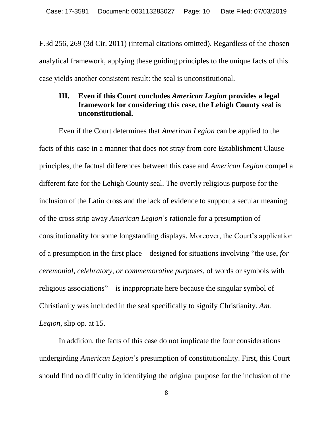F.3d 256, 269 (3d Cir. 2011) (internal citations omitted). Regardless of the chosen analytical framework, applying these guiding principles to the unique facts of this case yields another consistent result: the seal is unconstitutional.

### **III. Even if this Court concludes** *American Legion* **provides a legal framework for considering this case, the Lehigh County seal is unconstitutional.**

Even if the Court determines that *American Legion* can be applied to the facts of this case in a manner that does not stray from core Establishment Clause principles, the factual differences between this case and *American Legion* compel a different fate for the Lehigh County seal. The overtly religious purpose for the inclusion of the Latin cross and the lack of evidence to support a secular meaning of the cross strip away *American Legion*'s rationale for a presumption of constitutionality for some longstanding displays. Moreover, the Court's application of a presumption in the first place—designed for situations involving "the use, *for ceremonial, celebratory, or commemorative purposes*, of words or symbols with religious associations"—is inappropriate here because the singular symbol of Christianity was included in the seal specifically to signify Christianity. *Am. Legion*, slip op. at 15.

In addition, the facts of this case do not implicate the four considerations undergirding *American Legion*'s presumption of constitutionality. First, this Court should find no difficulty in identifying the original purpose for the inclusion of the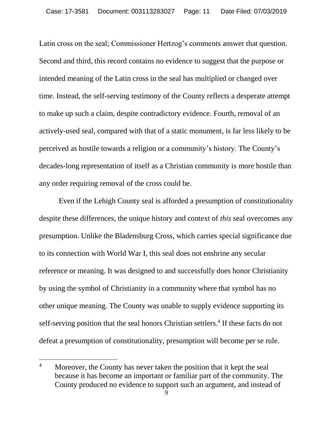Latin cross on the seal; Commissioner Hertzog's comments answer that question. Second and third, this record contains no evidence to suggest that the purpose or intended meaning of the Latin cross in the seal has multiplied or changed over time. Instead, the self-serving testimony of the County reflects a desperate attempt to make up such a claim, despite contradictory evidence. Fourth, removal of an actively-used seal, compared with that of a static monument, is far less likely to be perceived as hostile towards a religion or a community's history. The County's decades-long representation of itself as a Christian community is more hostile than any order requiring removal of the cross could be.

Even if the Lehigh County seal is afforded a presumption of constitutionality despite these differences, the unique history and context of *this* seal overcomes any presumption. Unlike the Bladensburg Cross, which carries special significance due to its connection with World War I, this seal does not enshrine any secular reference or meaning. It was designed to and successfully does honor Christianity by using the symbol of Christianity in a community where that symbol has no other unique meaning. The County was unable to supply evidence supporting its self-serving position that the seal honors Christian settlers.<sup>4</sup> If these facts do not defeat a presumption of constitutionality, presumption will become per se rule.

<sup>&</sup>lt;sup>4</sup> Moreover, the County has never taken the position that it kept the seal because it has become an important or familiar part of the community. The County produced no evidence to support such an argument, and instead of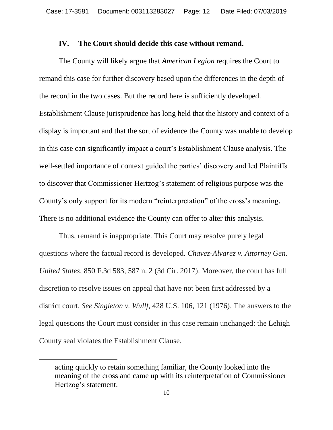#### **IV. The Court should decide this case without remand.**

The County will likely argue that *American Legion* requires the Court to remand this case for further discovery based upon the differences in the depth of the record in the two cases. But the record here is sufficiently developed. Establishment Clause jurisprudence has long held that the history and context of a display is important and that the sort of evidence the County was unable to develop in this case can significantly impact a court's Establishment Clause analysis. The well-settled importance of context guided the parties' discovery and led Plaintiffs to discover that Commissioner Hertzog's statement of religious purpose was the County's only support for its modern "reinterpretation" of the cross's meaning. There is no additional evidence the County can offer to alter this analysis.

Thus, remand is inappropriate. This Court may resolve purely legal questions where the factual record is developed. *Chavez-Alvarez v. Attorney Gen. United States*, 850 F.3d 583, 587 n. 2 (3d Cir. 2017). Moreover, the court has full discretion to resolve issues on appeal that have not been first addressed by a district court. *See Singleton v. Wullf,* 428 U.S. 106, 121 (1976). The answers to the legal questions the Court must consider in this case remain unchanged: the Lehigh County seal violates the Establishment Clause.

acting quickly to retain something familiar, the County looked into the meaning of the cross and came up with its reinterpretation of Commissioner Hertzog's statement.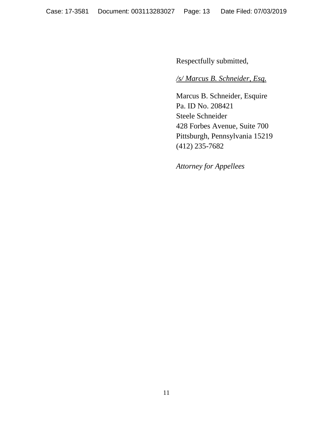Respectfully submitted,

# */s/ Marcus B. Schneider, Esq.*

Marcus B. Schneider, Esquire Pa. ID No. 208421 Steele Schneider 428 Forbes Avenue, Suite 700 Pittsburgh, Pennsylvania 15219 (412) 235-7682

*Attorney for Appellees*